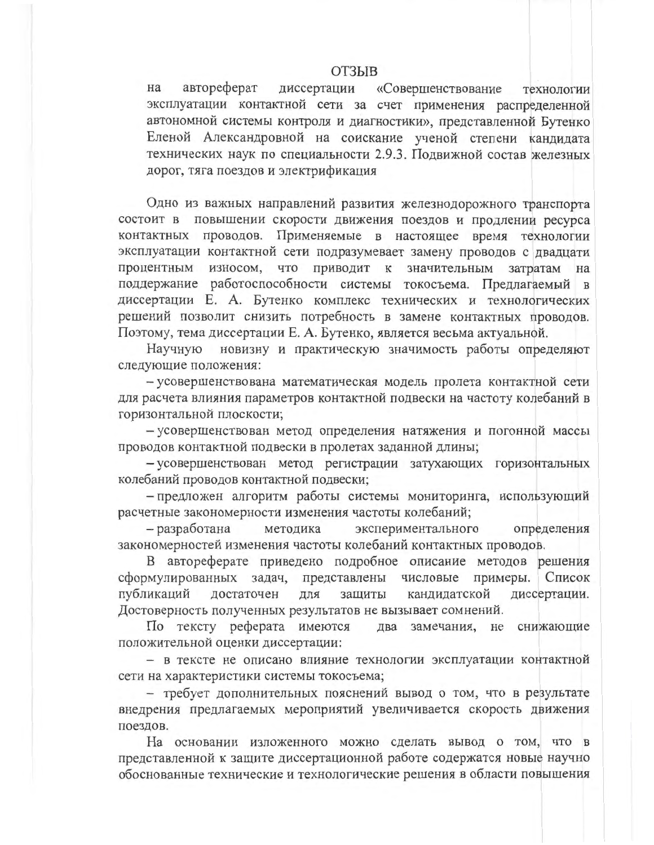## **ОТЗЫВ**

на автореферат диссертации «Совершенствование технологии эксплуатации контактной сети за счет применения распределенной автономной системы контроля и диагностики», представленной Бутенко Еленой Александровной на соискание ученой степени кандидата технических наук по специальности 2.9.3. Подвижной состав железных дорог, тяга поездов и электрификация

Одно из важных направлений развития железнодорожного транспорта состоит в повышении скорости движения поездов и продлении ресурса контактных проводов. Применяемые в настоящее время технологии эксплуатации контактной сети подразумевает замену проводов с двадцати процентным износом, что приводит к значительным затратам на поддержание работоспособности системы токосъема. Предлагаемый в диссертации Е. А. Бутенко комплекс технических и технологических решений позволит снизить потребность в замене контактных проводов. Поэтому, тема диссертации Е. А. Бутенко, является весьма актуальной.

Научную новизну и практическую значимость работы определяют следующие положения:

- усовершенствована математическая модель пролета контактной сети для расчета влияния параметров контактной подвески на частоту колебаний в горизонтальной плоскости;

- усовершенствован метод определения натяжения и погонной массы проводов контактной подвески в пролетах заданной длины;

- усовершенствован метод регистрации затухающих горизонтальных колебаний проводов контактной подвески;

- предложен алгоритм работы системы мониторинга, использующий расчетные закономерности изменения частоты колебаний;

определения - разработана методика экспериментального закономерностей изменения частоты колебаний контактных проводов.

В автореферате приведено подробное описание методов решения сформулированных задач, представлены числовые примеры. Список публикаций достаточен для кандидатской диссертации. защиты Достоверность полученных результатов не вызывает сомнений.

По тексту реферата имеются два замечания, не снижающие положительной оценки диссертации:

- в тексте не описано влияние технологии эксплуатации контактной сети на характеристики системы токосъема;

- требует дополнительных пояснений вывод о том, что в результате внедрения предлагаемых мероприятий увеличивается скорость движения поездов.

На основании изложенного можно сделать вывод о том, что в представленной к защите диссертационной работе содержатся новые научно обоснованные технические и технологические решения в области повышения